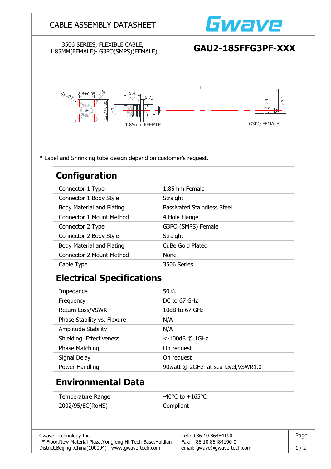## CABLE ASSEMBLY DATASHEET

### 3506 SERIES, FLEXIBLE CABLE, 1.85MM(FEMALE)- G3PO(SMPS)(FEMALE) **GAU2-185FFG3PF-XXX**





\* Label and Shrinking tube design depend on customer's request.

| <b>Configuration</b>                             |                                    |  |  |
|--------------------------------------------------|------------------------------------|--|--|
| Connector 1 Type                                 | 1.85mm Female                      |  |  |
| Connector 1 Body Style                           | Straight                           |  |  |
| Body Material and Plating                        | <b>Passivated Staindless Steel</b> |  |  |
| <b>Connector 1 Mount Method</b><br>4 Hole Flange |                                    |  |  |
| G3PO (SMPS) Female<br>Connector 2 Type           |                                    |  |  |
| Connector 2 Body Style                           | Straight                           |  |  |
| Body Material and Plating                        | <b>CuBe Gold Plated</b>            |  |  |
| <b>Connector 2 Mount Method</b>                  | <b>None</b>                        |  |  |
| Cable Type                                       | 3506 Series                        |  |  |
| <b>Electrical Specifications</b>                 |                                    |  |  |
| Impedance                                        | 50 $\Omega$                        |  |  |
| Frequency                                        | DC to 67 GHz                       |  |  |
| Return Loss/VSWR                                 | 10dB to 67 GHz                     |  |  |
| Phase Stability vs. Flexure                      | N/A                                |  |  |
| Amplitude Stability                              | N/A                                |  |  |
| Shielding Effectiveness                          | <-100dB @ 1GHz                     |  |  |

| <b>JUCKUTK LUCLUS DESS</b> | $\sim$ -TOOMD ( $\sim$ TOI IT        |
|----------------------------|--------------------------------------|
| Phase Matching             | On request                           |
| Signal Delay               | On request                           |
| Power Handling             | 90 watt @ 2GHz at sea level, VSWR1.0 |

# **Environmental Data**

| Temperature Range | $-40^{\circ}$ C to $+165^{\circ}$ C |
|-------------------|-------------------------------------|
| 2002/95/EC(RoHS)  | Compliant                           |

| Gwave Technology Inc.                                         | Tel.: +86 10 86484190       | Page |
|---------------------------------------------------------------|-----------------------------|------|
| 4th Floor, New Material Plaza, Yongfeng Hi-Tech Base, Haidian | Fax: +86 10 86484190-0      |      |
| District, Beijing, China(100094) www.gwave-tech.com           | email: gwave@gwave-tech.com | 1/2  |